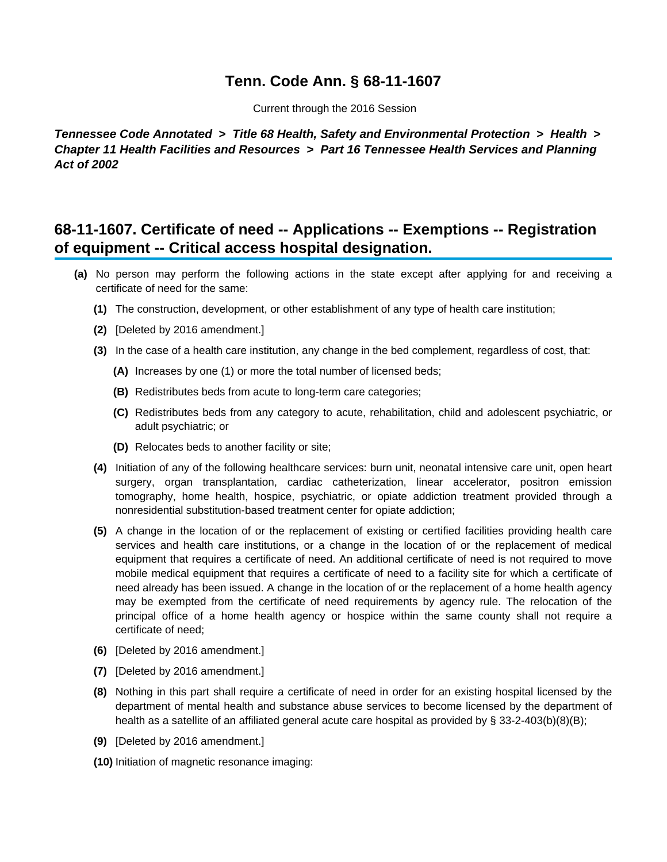## **Tenn. Code Ann. § 68-11-1607**

Current through the 2016 Session

**Tennessee Code Annotated > Title 68 Health, Safety and Environmental Protection > Health > Chapter 11 Health Facilities and Resources > Part 16 Tennessee Health Services and Planning Act of 2002**

## **68-11-1607. Certificate of need -- Applications -- Exemptions -- Registration of equipment -- Critical access hospital designation.**

- **(a)** No person may perform the following actions in the state except after applying for and receiving a certificate of need for the same:
	- **(1)** The construction, development, or other establishment of any type of health care institution;
	- **(2)** [Deleted by 2016 amendment.]
	- **(3)** In the case of a health care institution, any change in the bed complement, regardless of cost, that:
		- **(A)** Increases by one (1) or more the total number of licensed beds;
		- **(B)** Redistributes beds from acute to long-term care categories;
		- **(C)** Redistributes beds from any category to acute, rehabilitation, child and adolescent psychiatric, or adult psychiatric; or
		- **(D)** Relocates beds to another facility or site;
	- **(4)** Initiation of any of the following healthcare services: burn unit, neonatal intensive care unit, open heart surgery, organ transplantation, cardiac catheterization, linear accelerator, positron emission tomography, home health, hospice, psychiatric, or opiate addiction treatment provided through a nonresidential substitution-based treatment center for opiate addiction;
	- **(5)** A change in the location of or the replacement of existing or certified facilities providing health care services and health care institutions, or a change in the location of or the replacement of medical equipment that requires a certificate of need. An additional certificate of need is not required to move mobile medical equipment that requires a certificate of need to a facility site for which a certificate of need already has been issued. A change in the location of or the replacement of a home health agency may be exempted from the certificate of need requirements by agency rule. The relocation of the principal office of a home health agency or hospice within the same county shall not require a certificate of need;
	- **(6)** [Deleted by 2016 amendment.]
	- **(7)** [Deleted by 2016 amendment.]
	- **(8)** Nothing in this part shall require a certificate of need in order for an existing hospital licensed by the department of mental health and substance abuse services to become licensed by the department of health as a satellite of an affiliated general acute care hospital as provided by § 33-2-403(b)(8)(B);
	- **(9)** [Deleted by 2016 amendment.]
	- **(10)** Initiation of magnetic resonance imaging: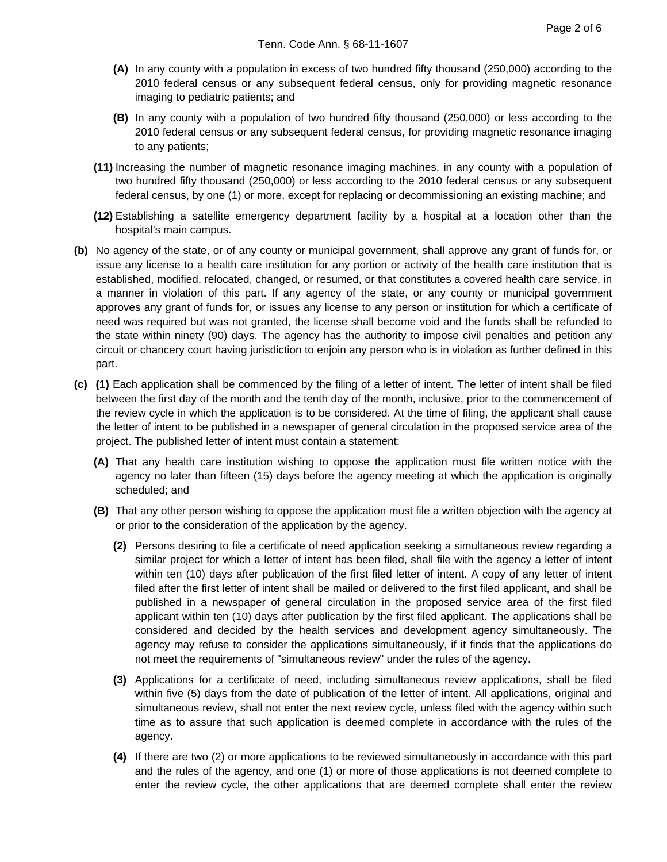- **(A)** In any county with a population in excess of two hundred fifty thousand (250,000) according to the 2010 federal census or any subsequent federal census, only for providing magnetic resonance imaging to pediatric patients; and
- **(B)** In any county with a population of two hundred fifty thousand (250,000) or less according to the 2010 federal census or any subsequent federal census, for providing magnetic resonance imaging to any patients;
- **(11)** Increasing the number of magnetic resonance imaging machines, in any county with a population of two hundred fifty thousand (250,000) or less according to the 2010 federal census or any subsequent federal census, by one (1) or more, except for replacing or decommissioning an existing machine; and
- **(12)** Establishing a satellite emergency department facility by a hospital at a location other than the hospital's main campus.
- **(b)** No agency of the state, or of any county or municipal government, shall approve any grant of funds for, or issue any license to a health care institution for any portion or activity of the health care institution that is established, modified, relocated, changed, or resumed, or that constitutes a covered health care service, in a manner in violation of this part. If any agency of the state, or any county or municipal government approves any grant of funds for, or issues any license to any person or institution for which a certificate of need was required but was not granted, the license shall become void and the funds shall be refunded to the state within ninety (90) days. The agency has the authority to impose civil penalties and petition any circuit or chancery court having jurisdiction to enjoin any person who is in violation as further defined in this part.
- **(c) (1)** Each application shall be commenced by the filing of a letter of intent. The letter of intent shall be filed between the first day of the month and the tenth day of the month, inclusive, prior to the commencement of the review cycle in which the application is to be considered. At the time of filing, the applicant shall cause the letter of intent to be published in a newspaper of general circulation in the proposed service area of the project. The published letter of intent must contain a statement:
	- **(A)** That any health care institution wishing to oppose the application must file written notice with the agency no later than fifteen (15) days before the agency meeting at which the application is originally scheduled; and
	- **(B)** That any other person wishing to oppose the application must file a written objection with the agency at or prior to the consideration of the application by the agency.
		- **(2)** Persons desiring to file a certificate of need application seeking a simultaneous review regarding a similar project for which a letter of intent has been filed, shall file with the agency a letter of intent within ten (10) days after publication of the first filed letter of intent. A copy of any letter of intent filed after the first letter of intent shall be mailed or delivered to the first filed applicant, and shall be published in a newspaper of general circulation in the proposed service area of the first filed applicant within ten (10) days after publication by the first filed applicant. The applications shall be considered and decided by the health services and development agency simultaneously. The agency may refuse to consider the applications simultaneously, if it finds that the applications do not meet the requirements of "simultaneous review" under the rules of the agency.
		- **(3)** Applications for a certificate of need, including simultaneous review applications, shall be filed within five (5) days from the date of publication of the letter of intent. All applications, original and simultaneous review, shall not enter the next review cycle, unless filed with the agency within such time as to assure that such application is deemed complete in accordance with the rules of the agency.
		- **(4)** If there are two (2) or more applications to be reviewed simultaneously in accordance with this part and the rules of the agency, and one (1) or more of those applications is not deemed complete to enter the review cycle, the other applications that are deemed complete shall enter the review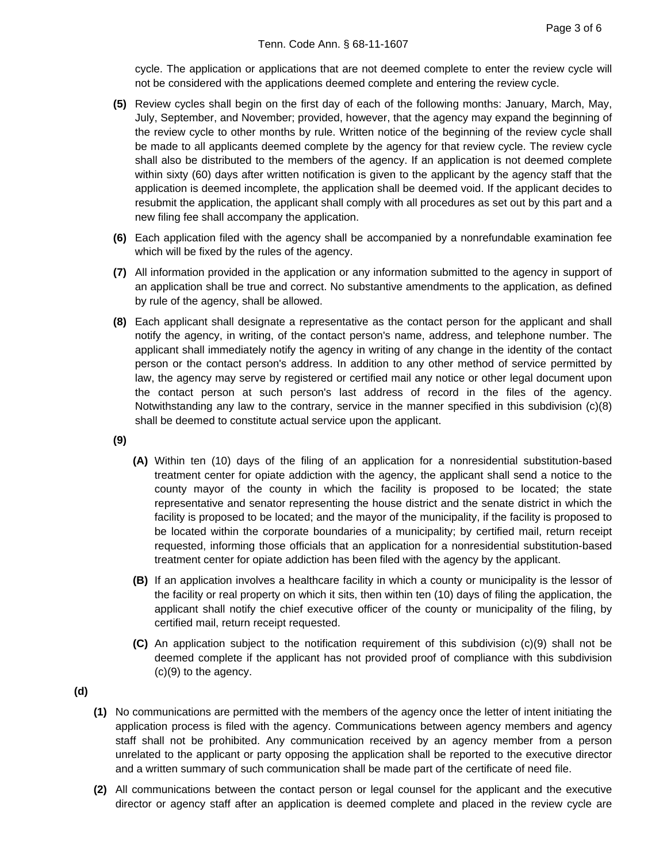cycle. The application or applications that are not deemed complete to enter the review cycle will not be considered with the applications deemed complete and entering the review cycle.

- **(5)** Review cycles shall begin on the first day of each of the following months: January, March, May, July, September, and November; provided, however, that the agency may expand the beginning of the review cycle to other months by rule. Written notice of the beginning of the review cycle shall be made to all applicants deemed complete by the agency for that review cycle. The review cycle shall also be distributed to the members of the agency. If an application is not deemed complete within sixty (60) days after written notification is given to the applicant by the agency staff that the application is deemed incomplete, the application shall be deemed void. If the applicant decides to resubmit the application, the applicant shall comply with all procedures as set out by this part and a new filing fee shall accompany the application.
- **(6)** Each application filed with the agency shall be accompanied by a nonrefundable examination fee which will be fixed by the rules of the agency.
- **(7)** All information provided in the application or any information submitted to the agency in support of an application shall be true and correct. No substantive amendments to the application, as defined by rule of the agency, shall be allowed.
- **(8)** Each applicant shall designate a representative as the contact person for the applicant and shall notify the agency, in writing, of the contact person's name, address, and telephone number. The applicant shall immediately notify the agency in writing of any change in the identity of the contact person or the contact person's address. In addition to any other method of service permitted by law, the agency may serve by registered or certified mail any notice or other legal document upon the contact person at such person's last address of record in the files of the agency. Notwithstanding any law to the contrary, service in the manner specified in this subdivision (c)(8) shall be deemed to constitute actual service upon the applicant.
- **(9)**
- **(A)** Within ten (10) days of the filing of an application for a nonresidential substitution-based treatment center for opiate addiction with the agency, the applicant shall send a notice to the county mayor of the county in which the facility is proposed to be located; the state representative and senator representing the house district and the senate district in which the facility is proposed to be located; and the mayor of the municipality, if the facility is proposed to be located within the corporate boundaries of a municipality; by certified mail, return receipt requested, informing those officials that an application for a nonresidential substitution-based treatment center for opiate addiction has been filed with the agency by the applicant.
- **(B)** If an application involves a healthcare facility in which a county or municipality is the lessor of the facility or real property on which it sits, then within ten (10) days of filing the application, the applicant shall notify the chief executive officer of the county or municipality of the filing, by certified mail, return receipt requested.
- **(C)** An application subject to the notification requirement of this subdivision (c)(9) shall not be deemed complete if the applicant has not provided proof of compliance with this subdivision (c)(9) to the agency.

**(d)**

- **(1)** No communications are permitted with the members of the agency once the letter of intent initiating the application process is filed with the agency. Communications between agency members and agency staff shall not be prohibited. Any communication received by an agency member from a person unrelated to the applicant or party opposing the application shall be reported to the executive director and a written summary of such communication shall be made part of the certificate of need file.
- **(2)** All communications between the contact person or legal counsel for the applicant and the executive director or agency staff after an application is deemed complete and placed in the review cycle are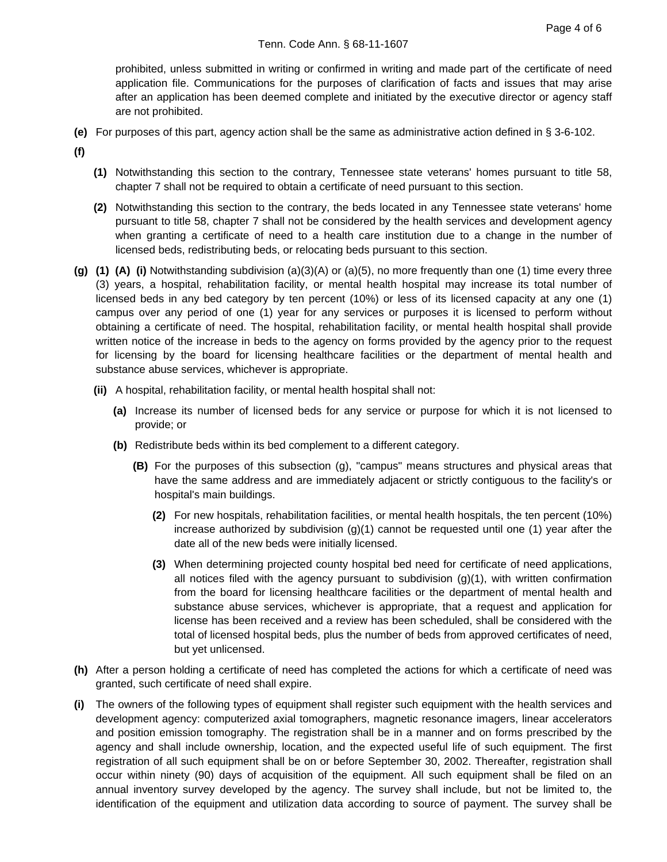prohibited, unless submitted in writing or confirmed in writing and made part of the certificate of need application file. Communications for the purposes of clarification of facts and issues that may arise after an application has been deemed complete and initiated by the executive director or agency staff are not prohibited.

- **(e)** For purposes of this part, agency action shall be the same as administrative action defined in § 3-6-102.
- **(f)**
- **(1)** Notwithstanding this section to the contrary, Tennessee state veterans' homes pursuant to title 58, chapter 7 shall not be required to obtain a certificate of need pursuant to this section.
- **(2)** Notwithstanding this section to the contrary, the beds located in any Tennessee state veterans' home pursuant to title 58, chapter 7 shall not be considered by the health services and development agency when granting a certificate of need to a health care institution due to a change in the number of licensed beds, redistributing beds, or relocating beds pursuant to this section.
- **(g) (1) (A) (i)** Notwithstanding subdivision (a)(3)(A) or (a)(5), no more frequently than one (1) time every three (3) years, a hospital, rehabilitation facility, or mental health hospital may increase its total number of licensed beds in any bed category by ten percent (10%) or less of its licensed capacity at any one (1) campus over any period of one (1) year for any services or purposes it is licensed to perform without obtaining a certificate of need. The hospital, rehabilitation facility, or mental health hospital shall provide written notice of the increase in beds to the agency on forms provided by the agency prior to the request for licensing by the board for licensing healthcare facilities or the department of mental health and substance abuse services, whichever is appropriate.
	- **(ii)** A hospital, rehabilitation facility, or mental health hospital shall not:
		- **(a)** Increase its number of licensed beds for any service or purpose for which it is not licensed to provide; or
		- **(b)** Redistribute beds within its bed complement to a different category.
			- **(B)** For the purposes of this subsection (g), "campus" means structures and physical areas that have the same address and are immediately adjacent or strictly contiguous to the facility's or hospital's main buildings.
				- **(2)** For new hospitals, rehabilitation facilities, or mental health hospitals, the ten percent (10%) increase authorized by subdivision  $(g)(1)$  cannot be requested until one  $(1)$  year after the date all of the new beds were initially licensed.
				- **(3)** When determining projected county hospital bed need for certificate of need applications, all notices filed with the agency pursuant to subdivision (g)(1), with written confirmation from the board for licensing healthcare facilities or the department of mental health and substance abuse services, whichever is appropriate, that a request and application for license has been received and a review has been scheduled, shall be considered with the total of licensed hospital beds, plus the number of beds from approved certificates of need, but yet unlicensed.
- **(h)** After a person holding a certificate of need has completed the actions for which a certificate of need was granted, such certificate of need shall expire.
- **(i)** The owners of the following types of equipment shall register such equipment with the health services and development agency: computerized axial tomographers, magnetic resonance imagers, linear accelerators and position emission tomography. The registration shall be in a manner and on forms prescribed by the agency and shall include ownership, location, and the expected useful life of such equipment. The first registration of all such equipment shall be on or before September 30, 2002. Thereafter, registration shall occur within ninety (90) days of acquisition of the equipment. All such equipment shall be filed on an annual inventory survey developed by the agency. The survey shall include, but not be limited to, the identification of the equipment and utilization data according to source of payment. The survey shall be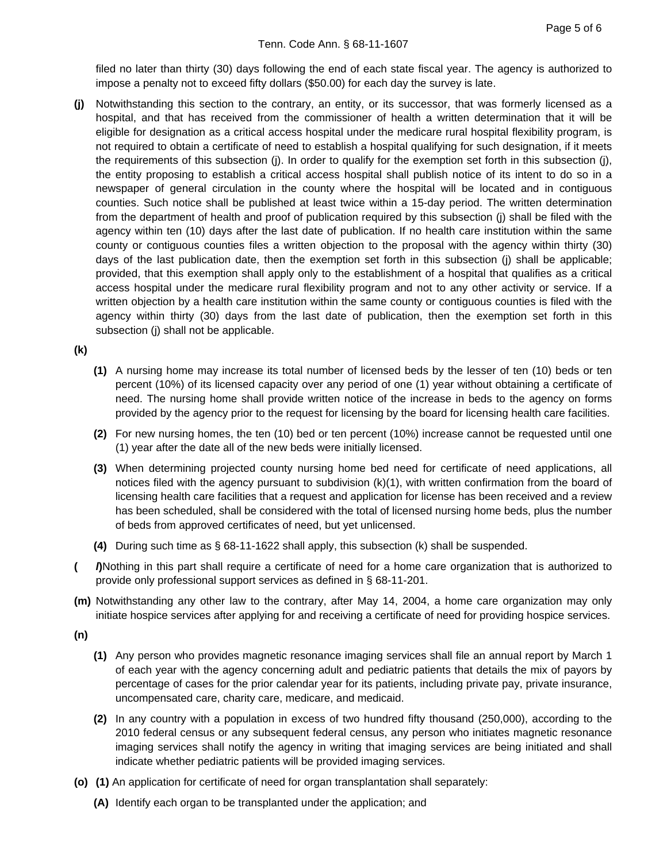filed no later than thirty (30) days following the end of each state fiscal year. The agency is authorized to impose a penalty not to exceed fifty dollars (\$50.00) for each day the survey is late.

**(j)** Notwithstanding this section to the contrary, an entity, or its successor, that was formerly licensed as a hospital, and that has received from the commissioner of health a written determination that it will be eligible for designation as a critical access hospital under the medicare rural hospital flexibility program, is not required to obtain a certificate of need to establish a hospital qualifying for such designation, if it meets the requirements of this subsection (j). In order to qualify for the exemption set forth in this subsection (j), the entity proposing to establish a critical access hospital shall publish notice of its intent to do so in a newspaper of general circulation in the county where the hospital will be located and in contiguous counties. Such notice shall be published at least twice within a 15-day period. The written determination from the department of health and proof of publication required by this subsection (j) shall be filed with the agency within ten (10) days after the last date of publication. If no health care institution within the same county or contiguous counties files a written objection to the proposal with the agency within thirty (30) days of the last publication date, then the exemption set forth in this subsection (j) shall be applicable; provided, that this exemption shall apply only to the establishment of a hospital that qualifies as a critical access hospital under the medicare rural flexibility program and not to any other activity or service. If a written objection by a health care institution within the same county or contiguous counties is filed with the agency within thirty (30) days from the last date of publication, then the exemption set forth in this subsection (j) shall not be applicable.

## **(k)**

- **(1)** A nursing home may increase its total number of licensed beds by the lesser of ten (10) beds or ten percent (10%) of its licensed capacity over any period of one (1) year without obtaining a certificate of need. The nursing home shall provide written notice of the increase in beds to the agency on forms provided by the agency prior to the request for licensing by the board for licensing health care facilities.
- **(2)** For new nursing homes, the ten (10) bed or ten percent (10%) increase cannot be requested until one (1) year after the date all of the new beds were initially licensed.
- **(3)** When determining projected county nursing home bed need for certificate of need applications, all notices filed with the agency pursuant to subdivision (k)(1), with written confirmation from the board of licensing health care facilities that a request and application for license has been received and a review has been scheduled, shall be considered with the total of licensed nursing home beds, plus the number of beds from approved certificates of need, but yet unlicensed.
- **(4)** During such time as § 68-11-1622 shall apply, this subsection (k) shall be suspended.
- **( l)**Nothing in this part shall require a certificate of need for a home care organization that is authorized to provide only professional support services as defined in § 68-11-201.
- **(m)** Notwithstanding any other law to the contrary, after May 14, 2004, a home care organization may only initiate hospice services after applying for and receiving a certificate of need for providing hospice services.
- **(n)**
- **(1)** Any person who provides magnetic resonance imaging services shall file an annual report by March 1 of each year with the agency concerning adult and pediatric patients that details the mix of payors by percentage of cases for the prior calendar year for its patients, including private pay, private insurance, uncompensated care, charity care, medicare, and medicaid.
- **(2)** In any country with a population in excess of two hundred fifty thousand (250,000), according to the 2010 federal census or any subsequent federal census, any person who initiates magnetic resonance imaging services shall notify the agency in writing that imaging services are being initiated and shall indicate whether pediatric patients will be provided imaging services.
- **(o) (1)** An application for certificate of need for organ transplantation shall separately:
	- **(A)** Identify each organ to be transplanted under the application; and